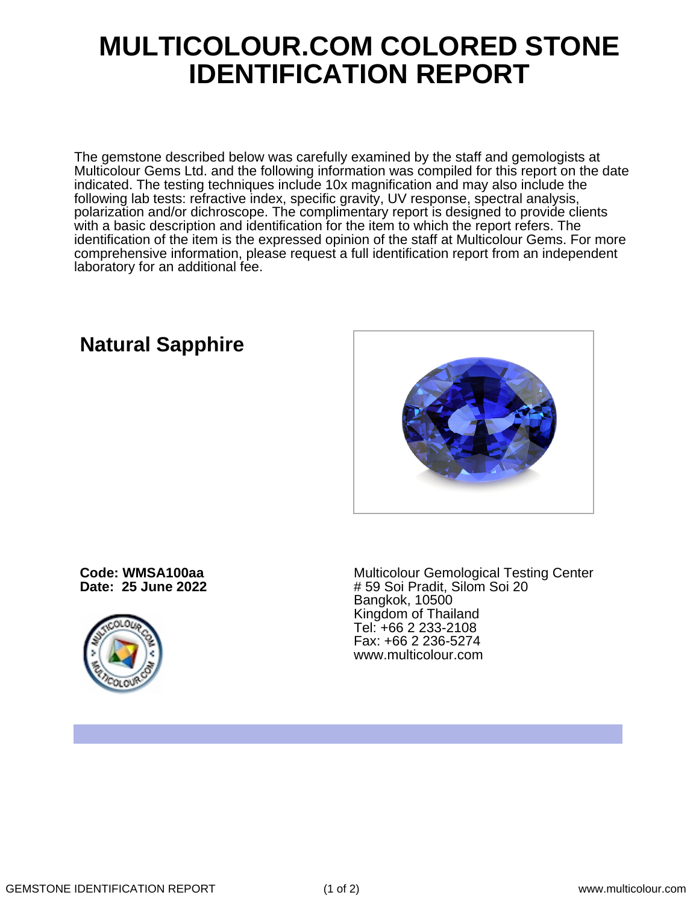## **MULTICOLOUR.COM COLORED STONE IDENTIFICATION REPORT**

The gemstone described below was carefully examined by the staff and gemologists at Multicolour Gems Ltd. and the following information was compiled for this report on the date indicated. The testing techniques include 10x magnification and may also include the following lab tests: refractive index, specific gravity, UV response, spectral analysis, polarization and/or dichroscope. The complimentary report is designed to provide clients with a basic description and identification for the item to which the report refers. The identification of the item is the expressed opinion of the staff at Multicolour Gems. For more comprehensive information, please request a full identification report from an independent laboratory for an additional fee.

**Code: WMSA100aa**

**Date: 25 June 2022**



Multicolour Gemological Testing Center # 59 Soi Pradit, Silom Soi 20 Bangkok, 10500 Kingdom of Thailand Tel: +66 2 233-2108 Fax: +66 2 236-5274 www.multicolour.com

# **Natural Sapphire**